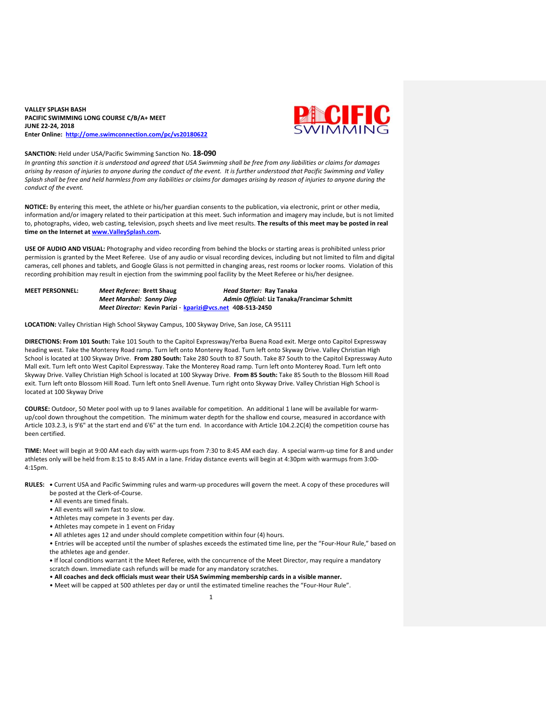## **VALLEY SPLASH BASH PACIFIC SWIMMING LONG COURSE C/B/A+ MEET JUNE 22-24, 2018 Enter Online: <http://ome.swimconnection.com/pc/vs20180622>**



#### **SANCTION:** Held under USA/Pacific Swimming Sanction No. **18-090**

In granting this sanction it is understood and agreed that USA Swimming shall be free from any liabilities or claims for damages arising by reason of injuries to anyone during the conduct of the event. It is further understood that Pacific Swimming and Valley Splash shall be free and held harmless from any liabilities or claims for damages arising by reason of injuries to anyone during the *conduct of the event.*

**NOTICE:** By entering this meet, the athlete or his/her guardian consents to the publication, via electronic, print or other media, information and/or imagery related to their participation at this meet. Such information and imagery may include, but is not limited to, photographs, video, web casting, television, psych sheets and live meet results. **The results of this meet may be posted in real time on the Internet at [www.ValleySplash.com.](http://www.valleysplash.com/)**

**USE OF AUDIO AND VISUAL:** Photography and video recording from behind the blocks or starting areas is prohibited unless prior permission is granted by the Meet Referee. Use of any audio or visual recording devices, including but not limited to film and digital cameras, cell phones and tablets, and Google Glass is not permitted in changing areas, rest rooms or locker rooms. Violation of this recording prohibition may result in ejection from the swimming pool facility by the Meet Referee or his/her designee.

**MEET PERSONNEL:** *Meet Referee:* **Brett Shaug** *Head Starter:* **Ray Tanaka** *Meet Marshal: Sonny Diep Admin Official:* **Liz Tanaka/Francimar Schmitt** *Meet Director:* **Kevin Parizi** - **[kparizi@vcs.net](mailto:kparizi@vcs.net)** 4**08-513-2450**

**LOCATION:** Valley Christian High School Skyway Campus, 100 Skyway Drive, San Jose, CA 95111

**DIRECTIONS: From 101 South:** Take 101 South to the Capitol Expressway/Yerba Buena Road exit. Merge onto Capitol Expressway heading west. Take the Monterey Road ramp. Turn left onto Monterey Road. Turn left onto Skyway Drive. Valley Christian High School is located at 100 Skyway Drive. **From 280 South:** Take 280 South to 87 South. Take 87 South to the Capitol Expressway Auto Mall exit. Turn left onto West Capitol Expressway. Take the Monterey Road ramp. Turn left onto Monterey Road. Turn left onto Skyway Drive. Valley Christian High School is located at 100 Skyway Drive. **From 85 South:** Take 85 South to the Blossom Hill Road exit. Turn left onto Blossom Hill Road. Turn left onto Snell Avenue. Turn right onto Skyway Drive. Valley Christian High School is located at 100 Skyway Drive

**COURSE:** Outdoor, 50 Meter pool with up to 9 lanes available for competition. An additional 1 lane will be available for warmup/cool down throughout the competition. The minimum water depth for the shallow end course, measured in accordance with Article 103.2.3, is 9'6" at the start end and 6'6" at the turn end. In accordance with Article 104.2.2C(4) the competition course has been certified.

**TIME:** Meet will begin at 9:00 AM each day with warm-ups from 7:30 to 8:45 AM each day. A special warm-up time for 8 and under athletes only will be held from 8:15 to 8:45 AM in a lane. Friday distance events will begin at 4:30pm with warmups from 3:00- 4:15pm.

**RULES: •** Current USA and Pacific Swimming rules and warm-up procedures will govern the meet. A copy of these procedures will be posted at the Clerk-of-Course.

- All events are timed finals.
- All events will swim fast to slow.
- Athletes may compete in 3 events per day.
- Athletes may compete in 1 event on Friday
- All athletes ages 12 and under should complete competition within four (4) hours.

• Entries will be accepted until the number of splashes exceeds the estimated time line, per the "Four-Hour Rule," based on the athletes age and gender.

**•** If local conditions warrant it the Meet Referee, with the concurrence of the Meet Director, may require a mandatory scratch down. Immediate cash refunds will be made for any mandatory scratches.

• **All coaches and deck officials must wear their USA Swimming membership cards in a visible manner.**

• Meet will be capped at 500 athletes per day or until the estimated timeline reaches the "Four-Hour Rule".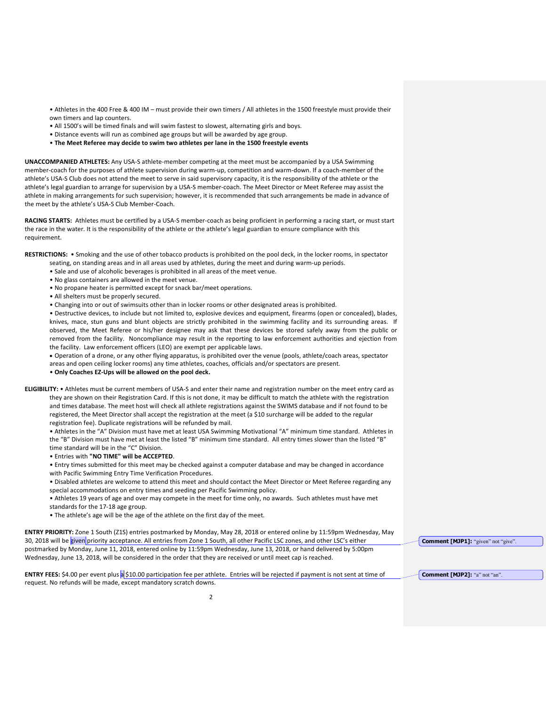• Athletes in the 400 Free & 400 IM – must provide their own timers / All athletes in the 1500 freestyle must provide their own timers and lap counters.

- All 1500's will be timed finals and will swim fastest to slowest, alternating girls and boys.
- Distance events will run as combined age groups but will be awarded by age group.
- **The Meet Referee may decide to swim two athletes per lane in the 1500 freestyle events**

**UNACCOMPANIED ATHLETES:** Any USA-S athlete-member competing at the meet must be accompanied by a USA Swimming member-coach for the purposes of athlete supervision during warm-up, competition and warm-down. If a coach-member of the athlete's USA-S Club does not attend the meet to serve in said supervisory capacity, it is the responsibility of the athlete or the athlete's legal guardian to arrange for supervision by a USA-S member-coach. The Meet Director or Meet Referee may assist the athlete in making arrangements for such supervision; however, it is recommended that such arrangements be made in advance of the meet by the athlete's USA-S Club Member-Coach.

**RACING STARTS:** Athletes must be certified by a USA-S member-coach as being proficient in performing a racing start, or must start the race in the water. It is the responsibility of the athlete or the athlete's legal guardian to ensure compliance with this requirement.

**RESTRICTIONS:** • Smoking and the use of other tobacco products is prohibited on the pool deck, in the locker rooms, in spectator

- seating, on standing areas and in all areas used by athletes, during the meet and during warm-up periods.
- Sale and use of alcoholic beverages is prohibited in all areas of the meet venue.
- No glass containers are allowed in the meet venue.
- No propane heater is permitted except for snack bar/meet operations.
- All shelters must be properly secured.
- Changing into or out of swimsuits other than in locker rooms or other designated areas is prohibited.

• Destructive devices, to include but not limited to, explosive devices and equipment, firearms (open or concealed), blades, knives, mace, stun guns and blunt objects are strictly prohibited in the swimming facility and its surrounding areas. If observed, the Meet Referee or his/her designee may ask that these devices be stored safely away from the public or removed from the facility. Noncompliance may result in the reporting to law enforcement authorities and ejection from the facility. Law enforcement officers (LEO) are exempt per applicable laws.

 Operation of a drone, or any other flying apparatus, is prohibited over the venue (pools, athlete/coach areas, spectator areas and open ceiling locker rooms) any time athletes, coaches, officials and/or spectators are present.

• **Only Coaches EZ-Ups will be allowed on the pool deck.**

**ELIGIBILITY:** • Athletes must be current members of USA-S and enter their name and registration number on the meet entry card as they are shown on their Registration Card. If this is not done, it may be difficult to match the athlete with the registration and times database. The meet host will check all athlete registrations against the SWIMS database and if not found to be registered, the Meet Director shall accept the registration at the meet (a \$10 surcharge will be added to the regular registration fee). Duplicate registrations will be refunded by mail.

• Athletes in the "A" Division must have met at least USA Swimming Motivational "A" minimum time standard. Athletes in the "B" Division must have met at least the listed "B" minimum time standard. All entry times slower than the listed "B" time standard will be in the "C" Division.

• Entries with **"NO TIME" will be ACCEPTED**.

• Entry times submitted for this meet may be checked against a computer database and may be changed in accordance with Pacific Swimming Entry Time Verification Procedures.

• Disabled athletes are welcome to attend this meet and should contact the Meet Director or Meet Referee regarding any special accommodations on entry times and seeding per Pacific Swimming policy.

• Athletes 19 years of age and over may compete in the meet for time only, no awards. Such athletes must have met standards for the 17-18 age group.

• The athlete's age will be the age of the athlete on the first day of the meet.

**ENTRY PRIORITY:** Zone 1 South (Z1S) entries postmarked by Monday, May 28, 2018 or entered online by 11:59pm Wednesday, May 30, 2018 will be given priority acceptance. All entries from Zone 1 South, all other Pacific LSC zones, and other LSC's either postmarked by Monday, June 11, 2018, entered online by 11:59pm Wednesday, June 13, 2018, or hand delivered by 5:00pm Wednesday, June 13, 2018, will be considered in the order that they are received or until meet cap is reached.

**ENTRY FEES:** \$4.00 per event plus a \$10.00 participation fee per athlete. Entries will be rejected if payment is not sent at time of request. No refunds will be made, except mandatory scratch downs.

**Comment [MJP1]:** "given" not "give".

**Comment [MJP2]:** "a" not "an".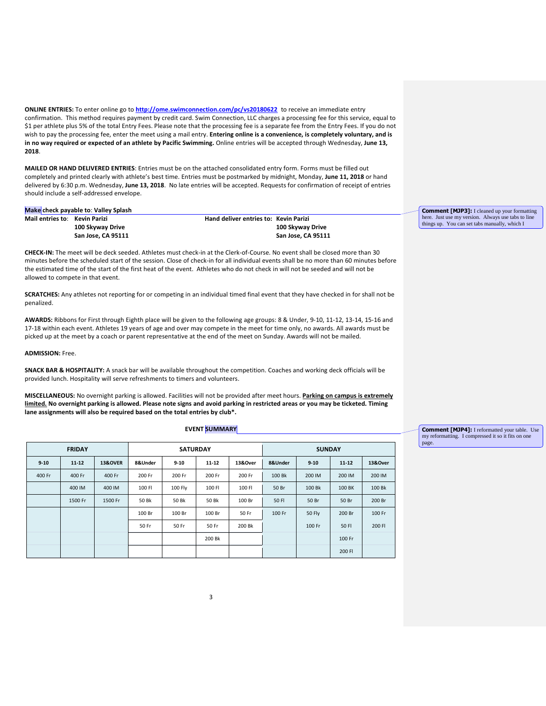**ONLINE ENTRIES:** To enter online go to **<http://ome.swimconnection.com/pc/vs20180622>** to receive an immediate entry confirmation. This method requires payment by credit card. Swim Connection, LLC charges a processing fee for this service, equal to \$1 per athlete plus 5% of the total Entry Fees. Please note that the processing fee is a separate fee from the Entry Fees. If you do not wish to pay the processing fee, enter the meet using a mail entry. **Entering online is a convenience, is completely voluntary, and is in no way required or expected of an athlete by Pacific Swimming.** Online entries will be accepted through Wednesday, **June 13, 2018**.

**MAILED OR HAND DELIVERED ENTRIES**: Entries must be on the attached consolidated entry form. Forms must be filled out completely and printed clearly with athlete's best time. Entries must be postmarked by midnight, Monday, **June 11, 2018** or hand delivered by 6:30 p.m. Wednesday, **June 13, 2018**. No late entries will be accepted. Requests for confirmation of receipt of entries should include a self-addressed envelope.

### **Make check payable to**: **Valley Splash**

**Mail entries to**: **Kevin Parizi Hand deliver entries to: Kevin Parizi**

**100 Skyway Drive 100 Skyway Drive San Jose, CA 95111 San Jose, CA 95111**

**CHECK-IN:** The meet will be deck seeded. Athletes must check-in at the Clerk-of-Course. No event shall be closed more than 30 minutes before the scheduled start of the session. Close of check-in for all individual events shall be no more than 60 minutes before the estimated time of the start of the first heat of the event. Athletes who do not check in will not be seeded and will not be allowed to compete in that event.

**SCRATCHES:** Any athletes not reporting for or competing in an individual timed final event that they have checked in for shall not be penalized.

**AWARDS:** Ribbons for First through Eighth place will be given to the following age groups: 8 & Under, 9-10, 11-12, 13-14, 15-16 and 17-18 within each event. Athletes 19 years of age and over may compete in the meet for time only, no awards. All awards must be picked up at the meet by a coach or parent representative at the end of the meet on Sunday. Awards will not be mailed.

**ADMISSION:** Free.

**SNACK BAR & HOSPITALITY:** A snack bar will be available throughout the competition. Coaches and working deck officials will be provided lunch. Hospitality will serve refreshments to timers and volunteers.

**MISCELLANEOUS:** No overnight parking is allowed. Facilities will not be provided after meet hours. **Parking on campus is extremely** limited. No overnight parking is allowed. Please note signs and avoid parking in restricted areas or you may be ticketed. Timing **lane assignments will also be required based on the total entries by club\*.**

### **EVENT SUMMARY**

|  |          | <b>FRIDAY</b><br><b>SATURDAY</b> |                    |         |          |           | <b>SUNDAY</b> |         |               |           |         |
|--|----------|----------------------------------|--------------------|---------|----------|-----------|---------------|---------|---------------|-----------|---------|
|  | $9 - 10$ | $11 - 12$                        | <b>13&amp;OVER</b> | 8&Under | $9 - 10$ | $11 - 12$ | 13&Over       | 8&Under | $9 - 10$      | $11 - 12$ | 13&Over |
|  | 400 Fr   | 400 Fr                           | 400 Fr             | 200 Fr  | 200 Fr   | 200 Fr    | 200 Fr        | 100 Bk  | 200 IM        | 200 IM    | 200 IM  |
|  |          | 400 IM                           | 400 IM             | 100 FI  | 100 Fly  | 100 FI    | 100 FI        | 50 Br   | 100 Bk        | 100 BK    | 100 Bk  |
|  |          | 1500 Fr                          | 1500 Fr            | 50 Bk   | 50 Bk    | 50 Bk     | 100 Br        | 50 FI   | 50 Br         | 50 Br     | 200 Br  |
|  |          |                                  |                    | 100 Br  | 100 Br   | 100 Br    | 50 Fr         | 100 Fr  | <b>50 Fly</b> | 200 Br    | 100 Fr  |
|  |          |                                  |                    | 50 Fr   | 50 Fr    | 50 Fr     | 200 Bk        |         | 100 Fr        | 50 FI     | 200 FI  |
|  |          |                                  |                    |         |          | 200 Bk    |               |         |               | 100 Fr    |         |
|  |          |                                  |                    |         |          |           |               |         |               | 200 FI    |         |

**Comment [MJP3]:** I cleaned up your formatting here. Just use my version. Always use tabs to line things up. You can set tabs manually, which I

**Comment [MJP4]:** I reformatted your table. Use my reformatting. I compressed it so it fits on one page.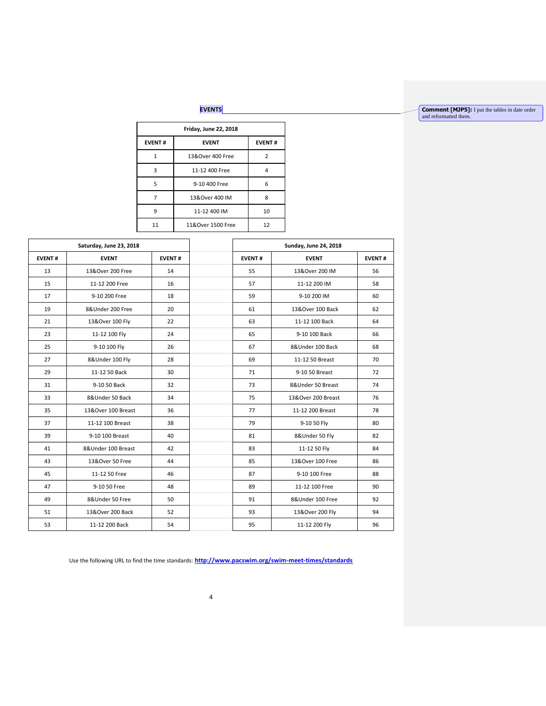# **EVENTS**

**Comment [MJP5]:** I put the tables in date order and reformatted them.

|               | Friday, June 22, 2018 |                    |               |  |  |  |  |  |  |  |
|---------------|-----------------------|--------------------|---------------|--|--|--|--|--|--|--|
| <b>EVENT#</b> |                       | <b>EVENT</b>       | <b>EVENT#</b> |  |  |  |  |  |  |  |
|               | 1                     | 13&Over 400 Free   | $\mathcal{P}$ |  |  |  |  |  |  |  |
|               | 3                     | 11-12 400 Free     | Δ             |  |  |  |  |  |  |  |
|               | 5                     | 9-10 400 Free      | 6             |  |  |  |  |  |  |  |
|               |                       | 13& Over 400 IM    | 8             |  |  |  |  |  |  |  |
|               | ٩                     | 11-12 400 IM       | 10            |  |  |  |  |  |  |  |
|               | 11                    | 11& Over 1500 Free | 12            |  |  |  |  |  |  |  |

| Saturday, June 23, 2018 |               | <b>Sunday, June 24, 2018</b> |                    |               |  |  |  |  |
|-------------------------|---------------|------------------------------|--------------------|---------------|--|--|--|--|
| <b>EVENT</b>            | <b>EVENT#</b> | <b>EVENT#</b>                | <b>EVENT</b>       | <b>EVENT#</b> |  |  |  |  |
| 13&Over 200 Free        | 14            | 55                           | 13&Over 200 IM     | 56            |  |  |  |  |
| 11-12 200 Free          | 16            | 57                           | 11-12 200 IM       | 58            |  |  |  |  |
| 9-10 200 Free           | 18            | 59                           | 9-10 200 IM        | 60            |  |  |  |  |
| 8&Under 200 Free        | 20            | 61                           | 13&Over 100 Back   | 62            |  |  |  |  |
| 13&Over 100 Fly         | 22            | 63                           | 11-12 100 Back     | 64            |  |  |  |  |
| 11-12 100 Fly           | 24            | 65                           | 9-10 100 Back      | 66            |  |  |  |  |
| 9-10 100 Fly            | 26            | 67                           | 8&Under 100 Back   | 68            |  |  |  |  |
| 8&Under 100 Fly         | 28            | 69                           | 11-12 50 Breast    | 70            |  |  |  |  |
| 11-12 50 Back           | 30            | 71                           | 9-10 50 Breast     | 72            |  |  |  |  |
| 9-10 50 Back            | 32            | 73                           | 8&Under 50 Breast  | 74            |  |  |  |  |
| 8&Under 50 Back         | 34            | 75                           | 13&Over 200 Breast | 76            |  |  |  |  |
| 13&Over 100 Breast      | 36            | 77                           | 11-12 200 Breast   | 78            |  |  |  |  |
| 11-12 100 Breast        | 38            | 79                           | 9-10 50 Fly        | 80            |  |  |  |  |
| 9-10 100 Breast         | 40            | 81                           | 8&Under 50 Fly     | 82            |  |  |  |  |
| 8&Under 100 Breast      | 42            | 83                           | 11-12 50 Fly       | 84            |  |  |  |  |
| 13&Over 50 Free         | 44            | 85                           | 13&Over 100 Free   | 86            |  |  |  |  |
| 11-12 50 Free           | 46            | 87                           | 9-10 100 Free      | 88            |  |  |  |  |
| 9-10 50 Free            | 48            | 89                           | 11-12 100 Free     | 90            |  |  |  |  |
| 8&Under 50 Free         | 50            | 91                           | 8&Under 100 Free   | 92            |  |  |  |  |
| 13&Over 200 Back        | 52            | 93                           | 13&Over 200 Fly    | 94            |  |  |  |  |
| 11-12 200 Back          | 54            | 95                           | 11-12 200 Fly      | 96            |  |  |  |  |
|                         |               |                              |                    |               |  |  |  |  |

Use the following URL to find the time standards: **http://www.pacswim.org/swim-meet-times/standards**